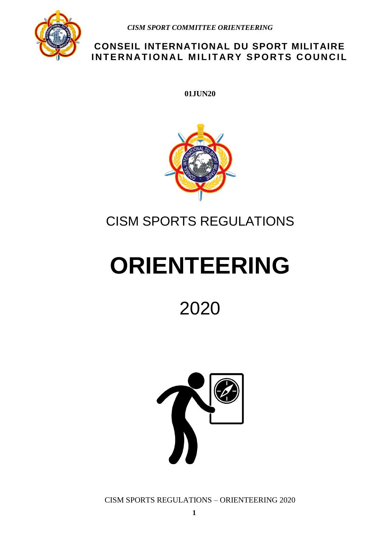

# **CONSEIL INTERNATIONAL DU SPORT MILITAIRE INTERNATIONAL MILITARY SPORTS COUNCIL**

**01JUN20**



# CISM SPORTS REGULATIONS

# **ORIENTEERING**

2020

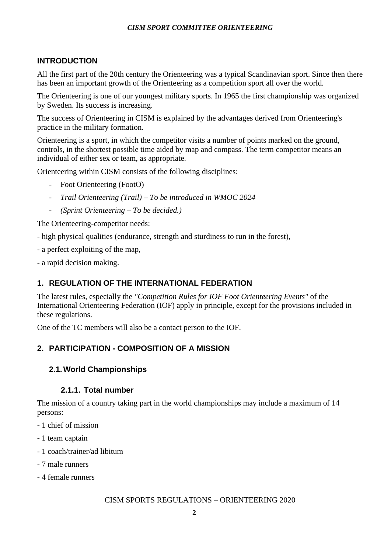#### **INTRODUCTION**

All the first part of the 20th century the Orienteering was a typical Scandinavian sport. Since then there has been an important growth of the Orienteering as a competition sport all over the world.

The Orienteering is one of our youngest military sports. In 1965 the first championship was organized by Sweden. Its success is increasing.

The success of Orienteering in CISM is explained by the advantages derived from Orienteering's practice in the military formation.

Orienteering is a sport, in which the competitor visits a number of points marked on the ground, controls, in the shortest possible time aided by map and compass. The term competitor means an individual of either sex or team, as appropriate.

Orienteering within CISM consists of the following disciplines:

- Foot Orienteering (FootO)
- *Trail Orienteering (Trail) – To be introduced in WMOC 2024*
- *(Sprint Orienteering – To be decided.)*

The Orienteering-competitor needs:

- high physical qualities (endurance, strength and sturdiness to run in the forest),

- a perfect exploiting of the map,

- a rapid decision making.

#### **1. REGULATION OF THE INTERNATIONAL FEDERATION**

The latest rules, especially the *"Competition Rules for IOF Foot Orienteering Events"* of the International Orienteering Federation (IOF) apply in principle, except for the provisions included in these regulations.

One of the TC members will also be a contact person to the IOF.

# **2. PARTICIPATION - COMPOSITION OF A MISSION**

#### **2.1.World Championships**

#### **2.1.1. Total number**

The mission of a country taking part in the world championships may include a maximum of 14 persons:

- 1 chief of mission
- 1 team captain
- 1 coach/trainer/ad libitum
- 7 male runners
- 4 female runners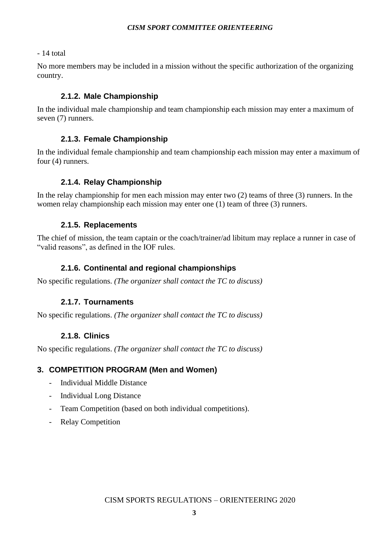- 14 total

No more members may be included in a mission without the specific authorization of the organizing country.

# **2.1.2. Male Championship**

In the individual male championship and team championship each mission may enter a maximum of seven (7) runners.

# **2.1.3. Female Championship**

In the individual female championship and team championship each mission may enter a maximum of four (4) runners.

# **2.1.4. Relay Championship**

In the relay championship for men each mission may enter two (2) teams of three (3) runners. In the women relay championship each mission may enter one (1) team of three (3) runners.

# **2.1.5. Replacements**

The chief of mission, the team captain or the coach/trainer/ad libitum may replace a runner in case of "valid reasons", as defined in the IOF rules.

# **2.1.6. Continental and regional championships**

No specific regulations. *(The organizer shall contact the TC to discuss)*

# **2.1.7. Tournaments**

No specific regulations. *(The organizer shall contact the TC to discuss)*

# **2.1.8. Clinics**

No specific regulations. *(The organizer shall contact the TC to discuss)*

# **3. COMPETITION PROGRAM (Men and Women)**

- Individual Middle Distance
- Individual Long Distance
- Team Competition (based on both individual competitions).
- Relay Competition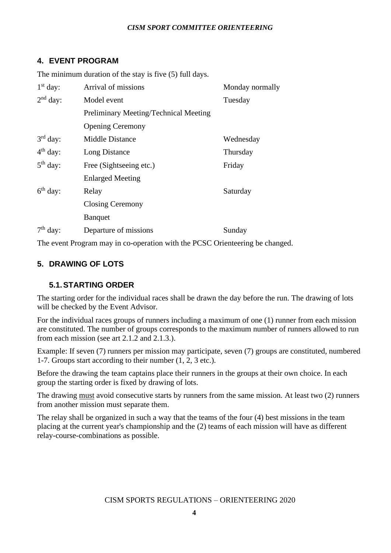# **4. EVENT PROGRAM**

|            | The minimum curation of the $\delta w$ to have $\delta y$ fun cu for |                 |
|------------|----------------------------------------------------------------------|-----------------|
| $1st$ day: | Arrival of missions                                                  | Monday normally |
| $2nd$ day: | Model event                                                          | Tuesday         |
|            | Preliminary Meeting/Technical Meeting                                |                 |
|            | <b>Opening Ceremony</b>                                              |                 |
| $3rd$ day: | <b>Middle Distance</b>                                               | Wednesday       |
| $4th$ day: | Long Distance                                                        | Thursday        |
| $5th$ day: | Free (Sightseeing etc.)                                              | Friday          |
|            | <b>Enlarged Meeting</b>                                              |                 |
| $6th$ day: | Relay                                                                | Saturday        |
|            | <b>Closing Ceremony</b>                                              |                 |
|            | <b>B</b> anquet                                                      |                 |
| $7th$ day: | Departure of missions                                                | Sunday          |
|            |                                                                      |                 |

The minimum duration of the stay is five (5) full days.

The event Program may in co-operation with the PCSC Orienteering be changed.

# **5. DRAWING OF LOTS**

# **5.1.STARTING ORDER**

The starting order for the individual races shall be drawn the day before the run. The drawing of lots will be checked by the Event Advisor*.*

For the individual races groups of runners including a maximum of one (1) runner from each mission are constituted. The number of groups corresponds to the maximum number of runners allowed to run from each mission (see art 2.1.2 and 2.1.3.).

Example: If seven (7) runners per mission may participate, seven (7) groups are constituted, numbered 1-7. Groups start according to their number (1, 2, 3 etc.).

Before the drawing the team captains place their runners in the groups at their own choice. In each group the starting order is fixed by drawing of lots.

The drawing must avoid consecutive starts by runners from the same mission*.* At least two (2) runners from another mission must separate them.

The relay shall be organized in such a way that the teams of the four (4) best missions in the team placing at the current year's championship and the (2) teams of each mission will have as different relay-course-combinations as possible.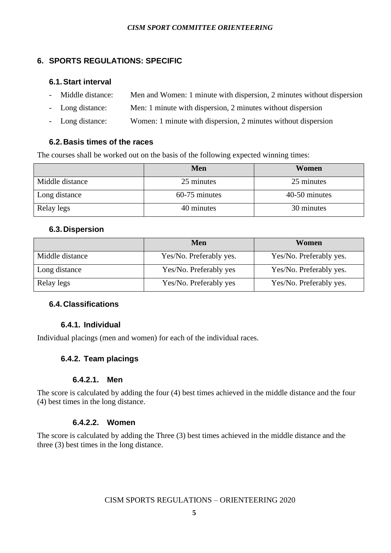# **6. SPORTS REGULATIONS: SPECIFIC**

#### **6.1.Start interval**

- Middle distance: Men and Women: 1 minute with dispersion, 2 minutes without dispersion
- Long distance: Men: 1 minute with dispersion, 2 minutes without dispersion
- Long distance: Women: 1 minute with dispersion, 2 minutes without dispersion

#### **6.2.Basis times of the races**

The courses shall be worked out on the basis of the following expected winning times:

|                 | <b>Men</b>    | Women         |
|-----------------|---------------|---------------|
| Middle distance | 25 minutes    | 25 minutes    |
| Long distance   | 60-75 minutes | 40-50 minutes |
| Relay legs      | 40 minutes    | 30 minutes    |

#### **6.3.Dispersion**

|                 | <b>Men</b>              | Women                   |
|-----------------|-------------------------|-------------------------|
| Middle distance | Yes/No. Preferably yes. | Yes/No. Preferably yes. |
| Long distance   | Yes/No. Preferably yes  | Yes/No. Preferably yes. |
| Relay legs      | Yes/No. Preferably yes  | Yes/No. Preferably yes. |

# **6.4.Classifications**

# **6.4.1. Individual**

Individual placings (men and women) for each of the individual races.

# **6.4.2. Team placings**

#### **6.4.2.1. Men**

The score is calculated by adding the four (4) best times achieved in the middle distance and the four (4) best times in the long distance.

#### **6.4.2.2. Women**

The score is calculated by adding the Three (3) best times achieved in the middle distance and the three (3) best times in the long distance.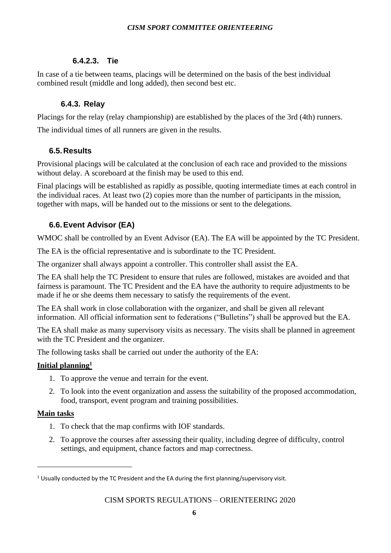# **6.4.2.3. Tie**

In case of a tie between teams, placings will be determined on the basis of the best individual combined result (middle and long added), then second best etc.

#### **6.4.3. Relay**

Placings for the relay (relay championship) are established by the places of the 3rd (4th) runners.

The individual times of all runners are given in the results.

#### **6.5.Results**

Provisional placings will be calculated at the conclusion of each race and provided to the missions without delay. A scoreboard at the finish may be used to this end.

Final placings will be established as rapidly as possible, quoting intermediate times at each control in the individual races. At least two (2) copies more than the number of participants in the mission, together with maps, will be handed out to the missions or sent to the delegations.

# **6.6.Event Advisor (EA)**

WMOC shall be controlled by an Event Advisor (EA). The EA will be appointed by the TC President.

The EA is the official representative and is subordinate to the TC President.

The organizer shall always appoint a controller. This controller shall assist the EA.

The EA shall help the TC President to ensure that rules are followed, mistakes are avoided and that fairness is paramount. The TC President and the EA have the authority to require adjustments to be made if he or she deems them necessary to satisfy the requirements of the event.

The EA shall work in close collaboration with the organizer, and shall be given all relevant information. All official information sent to federations ("Bulletins") shall be approved but the EA.

The EA shall make as many supervisory visits as necessary. The visits shall be planned in agreement with the TC President and the organizer.

The following tasks shall be carried out under the authority of the EA:

#### **Initial planning<sup>1</sup>**

- 1. To approve the venue and terrain for the event.
- 2. To look into the event organization and assess the suitability of the proposed accommodation, food, transport, event program and training possibilities.

#### **Main tasks**

- 1. To check that the map confirms with IOF standards.
- 2. To approve the courses after assessing their quality, including degree of difficulty, control settings, and equipment, chance factors and map correctness.

<sup>&</sup>lt;sup>1</sup> Usually conducted by the TC President and the EA during the first planning/supervisory visit.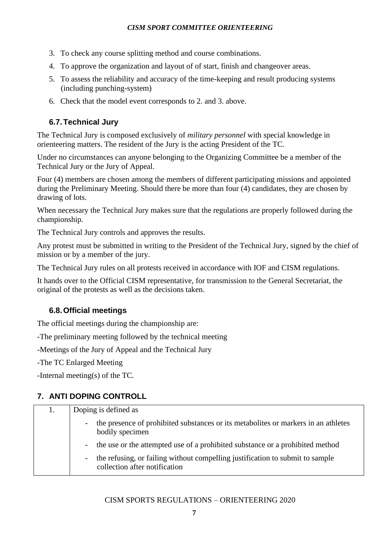- 3. To check any course splitting method and course combinations.
- 4. To approve the organization and layout of of start, finish and changeover areas.
- 5. To assess the reliability and accuracy of the time-keeping and result producing systems (including punching-system)
- 6. Check that the model event corresponds to 2. and 3. above.

# **6.7.Technical Jury**

The Technical Jury is composed exclusively of *military personnel* with special knowledge in orienteering matters. The resident of the Jury is the acting President of the TC.

Under no circumstances can anyone belonging to the Organizing Committee be a member of the Technical Jury or the Jury of Appeal.

Four (4) members are chosen among the members of different participating missions and appointed during the Preliminary Meeting. Should there be more than four (4) candidates, they are chosen by drawing of lots.

When necessary the Technical Jury makes sure that the regulations are properly followed during the championship.

The Technical Jury controls and approves the results.

Any protest must be submitted in writing to the President of the Technical Jury, signed by the chief of mission or by a member of the jury.

The Technical Jury rules on all protests received in accordance with IOF and CISM regulations.

It hands over to the Official CISM representative, for transmission to the General Secretariat, the original of the protests as well as the decisions taken.

# **6.8.Official meetings**

The official meetings during the championship are:

-The preliminary meeting followed by the technical meeting

-Meetings of the Jury of Appeal and the Technical Jury

-The TC Enlarged Meeting

-Internal meeting(s) of the TC.

# **7. ANTI DOPING CONTROLL**

| the presence of prohibited substances or its metabolities or markers in an athletes |
|-------------------------------------------------------------------------------------|
| - the use or the attempted use of a prohibited substance or a prohibited method     |
| - the refusing, or failing without compelling justification to submit to sample     |
|                                                                                     |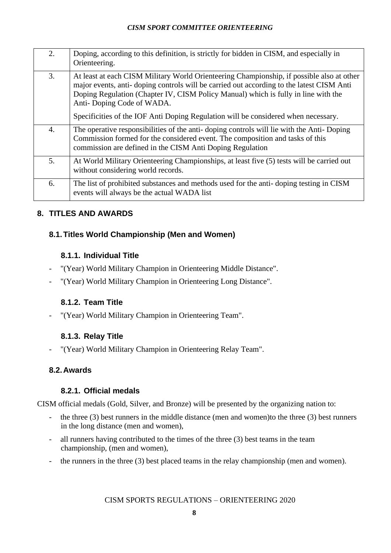| 2. | Doping, according to this definition, is strictly for bidden in CISM, and especially in<br>Orienteering.                                                                                                                                                                                                 |
|----|----------------------------------------------------------------------------------------------------------------------------------------------------------------------------------------------------------------------------------------------------------------------------------------------------------|
| 3. | At least at each CISM Military World Orienteering Championship, if possible also at other<br>major events, anti-doping controls will be carried out according to the latest CISM Anti<br>Doping Regulation (Chapter IV, CISM Policy Manual) which is fully in line with the<br>Anti-Doping Code of WADA. |
|    | Specificities of the IOF Anti Doping Regulation will be considered when necessary.                                                                                                                                                                                                                       |
| 4. | The operative responsibilities of the anti-doping controls will lie with the Anti-Doping<br>Commission formed for the considered event. The composition and tasks of this<br>commission are defined in the CISM Anti Doping Regulation                                                                   |
| 5. | At World Military Orienteering Championships, at least five (5) tests will be carried out<br>without considering world records.                                                                                                                                                                          |
| 6. | The list of prohibited substances and methods used for the anti-doping testing in CISM<br>events will always be the actual WADA list                                                                                                                                                                     |

# **8. TITLES AND AWARDS**

# **8.1.Titles World Championship (Men and Women)**

# **8.1.1. Individual Title**

- "(Year) World Military Champion in Orienteering Middle Distance".
- "(Year) World Military Champion in Orienteering Long Distance".

# **8.1.2. Team Title**

"(Year) World Military Champion in Orienteering Team".

# **8.1.3. Relay Title**

- "(Year) World Military Champion in Orienteering Relay Team".

# **8.2.Awards**

# **8.2.1. Official medals**

CISM official medals (Gold, Silver, and Bronze) will be presented by the organizing nation to:

- the three (3) best runners in the middle distance (men and women) to the three (3) best runners in the long distance (men and women),
- all runners having contributed to the times of the three (3) best teams in the team championship, (men and women),
- the runners in the three (3) best placed teams in the relay championship (men and women).